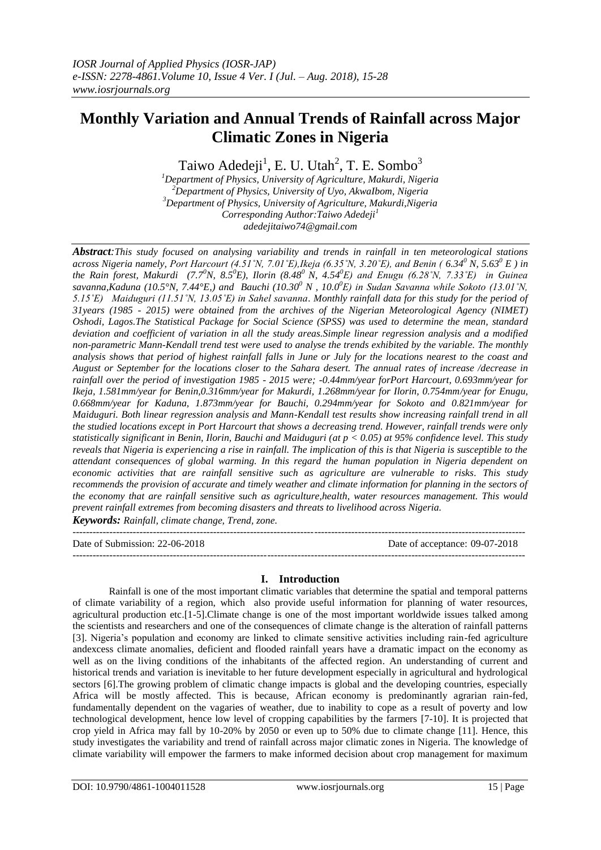# **Monthly Variation and Annual Trends of Rainfall across Major Climatic Zones in Nigeria**

Taiwo Adedeji<sup>1</sup>, E. U. Utah<sup>2</sup>, T. E. Sombo<sup>3</sup>

*<sup>1</sup>Department of Physics, University of Agriculture, Makurdi, Nigeria <sup>2</sup>Department of Physics, University of Uyo, AkwaIbom, Nigeria <sup>3</sup>Department of Physics, University of Agriculture, Makurdi,Nigeria Corresponding Author:Taiwo Adedeji<sup>1</sup> adedejitaiwo74@gmail.com*

*Abstract:This study focused on analysing variability and trends in rainfall in ten meteorological stations across Nigeria namely, Port Harcourt (4.51˚N, 7.01˚E),Ikeja (6.35˚N, 3.20˚E), and Benin ( 6.34<sup>0</sup> N, 5.63<sup>0</sup> E ) in the Rain forest, Makurdi (7.7<sup>0</sup>N, 8.5<sup>0</sup>E), Ilorin (8.48<sup>0</sup>N, 4.54<sup>0</sup>E) and Enugu (6.28˚N, 7.33˚E) in Guinea savanna,Kaduna (10.5°N, 7.44°E,) and Bauchi (10.30<sup>0</sup> N , 10.0 <sup>0</sup>E) in Sudan Savanna while Sokoto (13.01˚N, 5.15˚E) Maiduguri (11.51˚N, 13.05˚E) in Sahel savanna. Monthly rainfall data for this study for the period of 31years (1985 - 2015) were obtained from the archives of the Nigerian Meteorological Agency (NIMET) Oshodi, Lagos.The Statistical Package for Social Science (SPSS) was used to determine the mean, standard deviation and coefficient of variation in all the study areas.Simple linear regression analysis and a modified non-parametric Mann-Kendall trend test were used to analyse the trends exhibited by the variable. The monthly analysis shows that period of highest rainfall falls in June or July for the locations nearest to the coast and August or September for the locations closer to the Sahara desert. The annual rates of increase /decrease in rainfall over the period of investigation 1985 - 2015 were; -0.44mm/year forPort Harcourt, 0.693mm/year for Ikeja, 1.581mm/year for Benin,0.316mm/year for Makurdi, 1.268mm/year for Ilorin, 0.754mm/year for Enugu, 0.668mm/year for Kaduna, 1.873mm/year for Bauchi, 0.294mm/year for Sokoto and 0.821mm/year for Maiduguri. Both linear regression analysis and Mann-Kendall test results show increasing rainfall trend in all the studied locations except in Port Harcourt that shows a decreasing trend. However, rainfall trends were only statistically significant in Benin, Ilorin, Bauchi and Maiduguri (at p < 0.05) at 95% confidence level. This study reveals that Nigeria is experiencing a rise in rainfall. The implication of this is that Nigeria is susceptible to the attendant consequences of global warming. In this regard the human population in Nigeria dependent on economic activities that are rainfall sensitive such as agriculture are vulnerable to risks. This study recommends the provision of accurate and timely weather and climate information for planning in the sectors of the economy that are rainfall sensitive such as agriculture,health, water resources management. This would prevent rainfall extremes from becoming disasters and threats to livelihood across Nigeria. Keywords: Rainfall, climate change, Trend, zone.*

 $-1.1$ 

Date of Submission: 22-06-2018 Date of acceptance: 09-07-2018 ---------------------------------------------------------------------------------------------------------------------------------------

## **I. Introduction**

Rainfall is one of the most important climatic variables that determine the spatial and temporal patterns of climate variability of a region, which also provide useful information for planning of water resources, agricultural production etc.[1-5].Climate change is one of the most important worldwide issues talked among the scientists and researchers and one of the consequences of climate change is the alteration of rainfall patterns [3]. Nigeria's population and economy are linked to climate sensitive activities including rain-fed agriculture andexcess climate anomalies, deficient and flooded rainfall years have a dramatic impact on the economy as well as on the living conditions of the inhabitants of the affected region. An understanding of current and historical trends and variation is inevitable to her future development especially in agricultural and hydrological sectors [6]. The growing problem of climatic change impacts is global and the developing countries, especially Africa will be mostly affected. This is because, African economy is predominantly agrarian rain-fed, fundamentally dependent on the vagaries of weather, due to inability to cope as a result of poverty and low technological development, hence low level of cropping capabilities by the farmers [7-10]. It is projected that crop yield in Africa may fall by 10-20% by 2050 or even up to 50% due to climate change [11]. Hence, this study investigates the variability and trend of rainfall across major climatic zones in Nigeria. The knowledge of climate variability will empower the farmers to make informed decision about crop management for maximum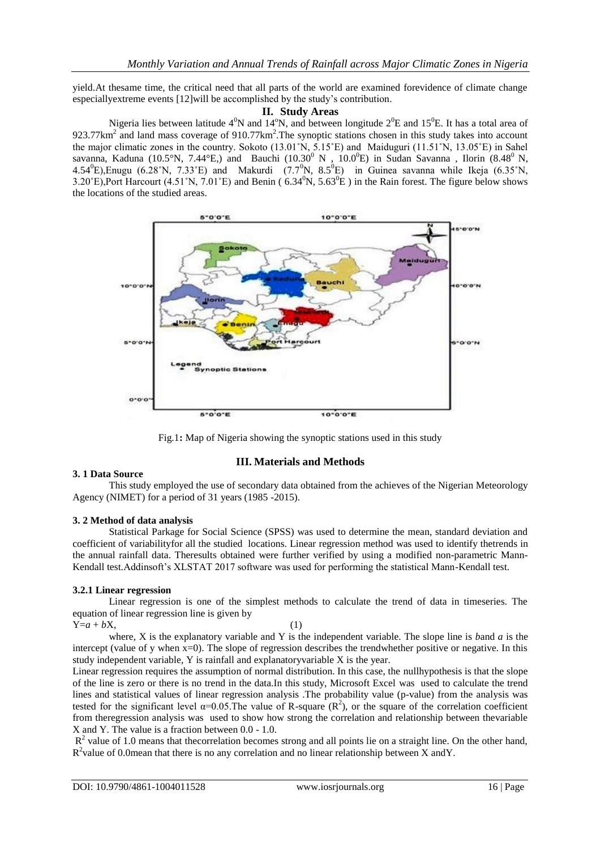yield.At thesame time, the critical need that all parts of the world are examined forevidence of climate change especiallyextreme events [12]will be accomplished by the study's contribution.

#### **II. Study Areas**

Nigeria lies between latitude  $4^0N$  and  $14^0N$ , and between longitude  $2^0E$  and  $15^0E$ . It has a total area of 923.77 $km^2$  and land mass coverage of 910.77 $km^2$ . The synoptic stations chosen in this study takes into account the major climatic zones in the country. Sokoto (13.01˚N, 5.15˚E) and Maiduguri (11.51˚N, 13.05˚E) in Sahel savanna, Kaduna (10.5°N, 7.44°E,) and Bauchi (10.30<sup>0</sup> N, 10.0<sup>0</sup>E) in Sudan Savanna, Ilorin (8.48<sup>0</sup> N, 4.54<sup>0</sup>E),Enugu (6.28°N, 7.33°E) and Makurdi (7.7<sup>0</sup>N, 8.5<sup>0</sup>E) in Guinea savanna while Ikeja (6.35°N, 3.20°E),Port Harcourt (4.51°N, 7.01°E) and Benin ( $6.34^{\circ}N$ ,  $5.63^{\circ}E$ ) in the Rain forest. The figure below shows the locations of the studied areas.





#### **III. Materials and Methods**

#### **3. 1 Data Source**

This study employed the use of secondary data obtained from the achieves of the Nigerian Meteorology Agency (NIMET) for a period of 31 years (1985 -2015).

#### **3. 2 Method of data analysis**

Statistical Parkage for Social Science (SPSS) was used to determine the mean, standard deviation and coefficient of variabilityfor all the studied locations. Linear regression method was used to identify thetrends in the annual rainfall data. Theresults obtained were further verified by using a modified non-parametric Mann-Kendall test.Addinsoft's XLSTAT 2017 software was used for performing the statistical Mann-Kendall test.

#### **3.2.1 Linear regression**

Linear regression is one of the simplest methods to calculate the trend of data in timeseries. The equation of linear regression line is given by  $Y=a+bX,$  (1)

where, X is the explanatory variable and Y is the independent variable. The slope line is *b*and *a* is the intercept (value of y when x=0). The slope of regression describes the trendwhether positive or negative. In this study independent variable, Y is rainfall and explanatoryvariable X is the year.

Linear regression requires the assumption of normal distribution. In this case, the nullhypothesis is that the slope of the line is zero or there is no trend in the data.In this study, Microsoft Excel was used to calculate the trend lines and statistical values of linear regression analysis .The probability value (p-value) from the analysis was tested for the significant level  $\alpha$ =0.05. The value of R-square (R<sup>2</sup>), or the square of the correlation coefficient from theregression analysis was used to show how strong the correlation and relationship between thevariable X and Y. The value is a fraction between 0.0 - 1.0.

 $R<sup>2</sup>$  value of 1.0 means that the correlation becomes strong and all points lie on a straight line. On the other hand, R<sup>2</sup>value of 0.0mean that there is no any correlation and no linear relationship between X andY.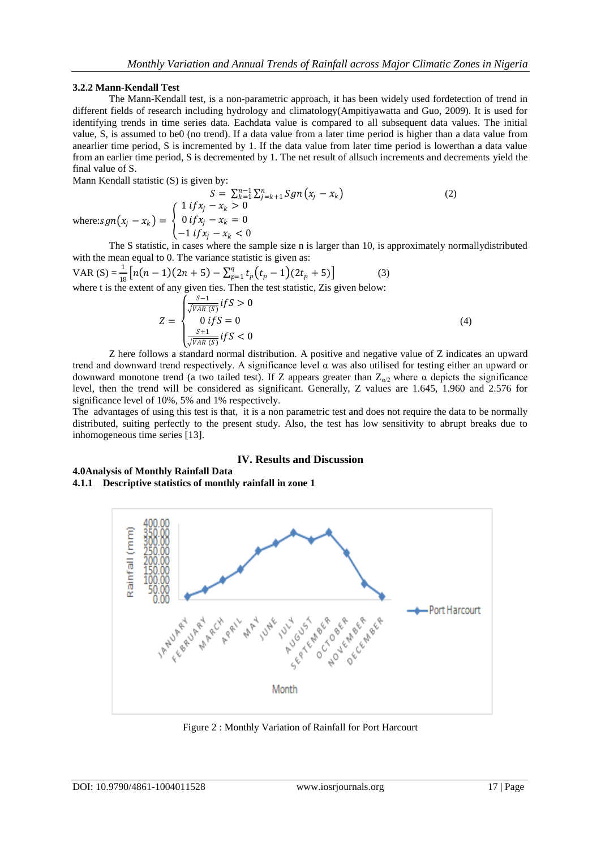#### **3.2.2 Mann-Kendall Test**

The Mann-Kendall test, is a non-parametric approach, it has been widely used fordetection of trend in different fields of research including hydrology and climatology(Ampitiyawatta and Guo, 2009). It is used for identifying trends in time series data. Eachdata value is compared to all subsequent data values. The initial value, S, is assumed to be0 (no trend). If a data value from a later time period is higher than a data value from anearlier time period, S is incremented by 1. If the data value from later time period is lowerthan a data value from an earlier time period, S is decremented by 1. The net result of allsuch increments and decrements yield the final value of S.

Mann Kendall statistic (S) is given by:

$$
S = \sum_{k=1}^{n-1} \sum_{j=k+1}^{n} Sgn(x_j - x_k)
$$
  
\nwhere:  $sgn(x_j - x_k) =\begin{cases} 1 & \text{if } x_j - x_k > 0 \\ 0 & \text{if } x_j - x_k = 0 \\ -1 & \text{if } x_j - x_k < 0 \end{cases}$  (2)

The S statistic, in cases where the sample size n is larger than 10, is approximately normallydistributed with the mean equal to 0. The variance statistic is given as:

VAR (S) = 
$$
\frac{1}{18} [n(n-1)(2n+5) - \sum_{p=1}^{q} t_p(t_p - 1)(2t_p + 5)]
$$
 (3)  
where t is the extent of any given ties. Then the test statistic, Zis given below:

$$
Z = \begin{cases} \frac{S-1}{\sqrt{VAR(S)}} \, \text{if } S > 0\\ 0 \, \text{if } S = 0\\ \frac{S+1}{\sqrt{VAR(S)}} \, \text{if } S < 0 \end{cases} \tag{4}
$$

Z here follows a standard normal distribution. A positive and negative value of Z indicates an upward trend and downward trend respectively. A significance level  $\alpha$  was also utilised for testing either an upward or downward monotone trend (a two tailed test). If Z appears greater than  $Z_{\alpha/2}$  where  $\alpha$  depicts the significance level, then the trend will be considered as significant. Generally, Z values are 1.645, 1.960 and 2.576 for significance level of 10%, 5% and 1% respectively.

The advantages of using this test is that, it is a non parametric test and does not require the data to be normally distributed, suiting perfectly to the present study. Also, the test has low sensitivity to abrupt breaks due to inhomogeneous time series [13].

#### **IV. Results and Discussion**

# **4.0Analysis of Monthly Rainfall Data**

**4.1.1 Descriptive statistics of monthly rainfall in zone 1**



Figure 2 : Monthly Variation of Rainfall for Port Harcourt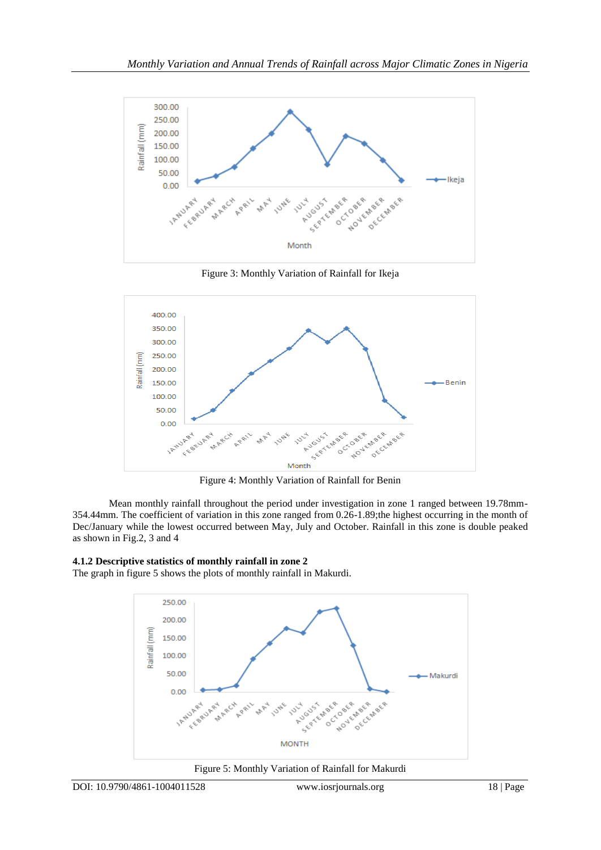

Figure 3: Monthly Variation of Rainfall for Ikeja



Figure 4: Monthly Variation of Rainfall for Benin

Mean monthly rainfall throughout the period under investigation in zone 1 ranged between 19.78mm-354.44mm. The coefficient of variation in this zone ranged from 0.26-1.89;the highest occurring in the month of Dec/January while the lowest occurred between May, July and October. Rainfall in this zone is double peaked as shown in Fig.2, 3 and 4

## **4.1.2 Descriptive statistics of monthly rainfall in zone 2**

The graph in figure 5 shows the plots of monthly rainfall in Makurdi.



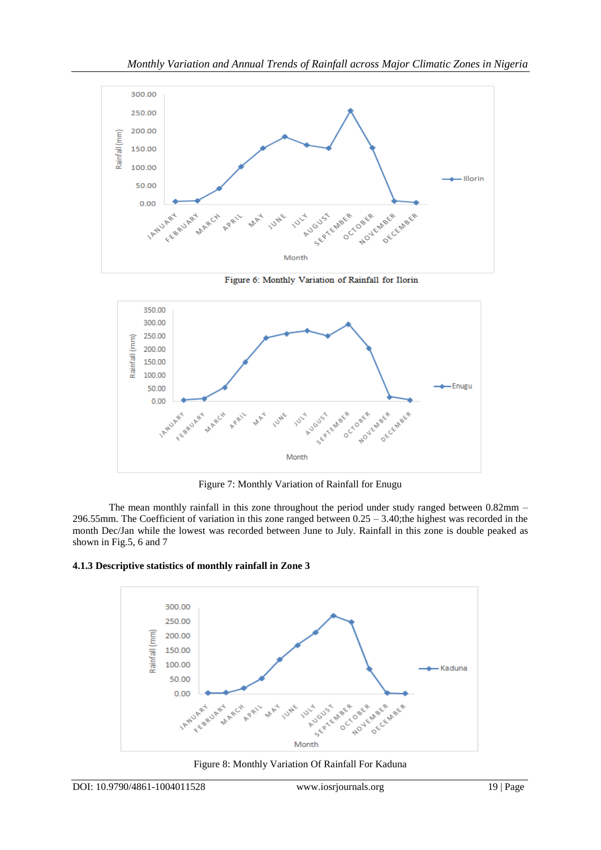

Figure 6: Monthly Variation of Rainfall for Ilorin



Figure 7: Monthly Variation of Rainfall for Enugu

The mean monthly rainfall in this zone throughout the period under study ranged between 0.82mm – 296.55mm. The Coefficient of variation in this zone ranged between  $0.25 - 3.40$ ;the highest was recorded in the month Dec/Jan while the lowest was recorded between June to July. Rainfall in this zone is double peaked as shown in Fig.5, 6 and 7

#### **4.1.3 Descriptive statistics of monthly rainfall in Zone 3**



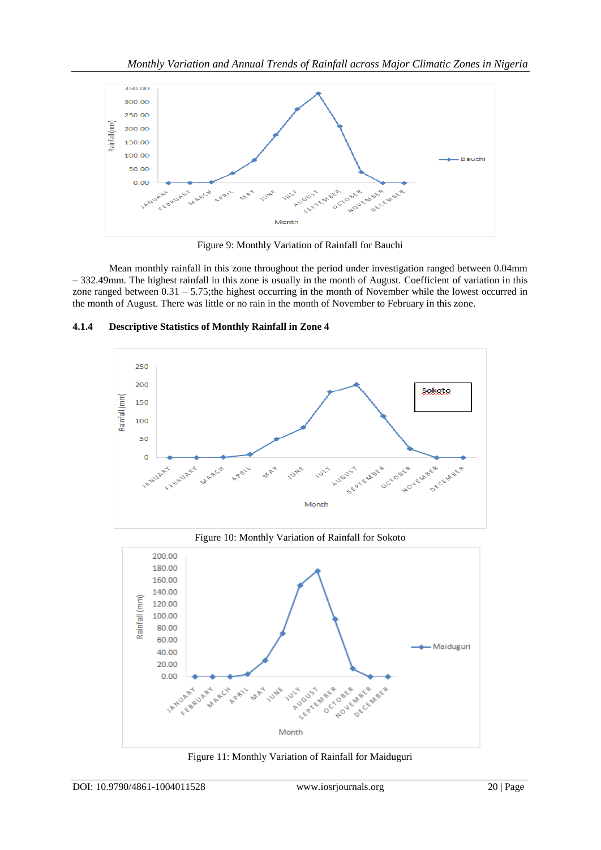

Figure 9: Monthly Variation of Rainfall for Bauchi

Mean monthly rainfall in this zone throughout the period under investigation ranged between 0.04mm – 332.49mm. The highest rainfall in this zone is usually in the month of August. Coefficient of variation in this zone ranged between 0.31 – 5.75;the highest occurring in the month of November while the lowest occurred in the month of August. There was little or no rain in the month of November to February in this zone.



## **4.1.4 Descriptive Statistics of Monthly Rainfall in Zone 4**





Figure 11: Monthly Variation of Rainfall for Maiduguri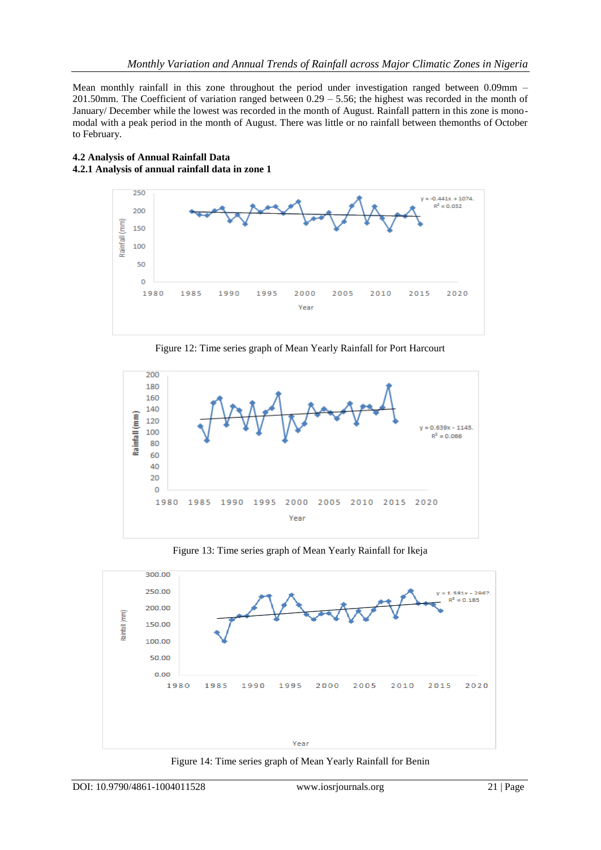Mean monthly rainfall in this zone throughout the period under investigation ranged between 0.09mm – 201.50mm. The Coefficient of variation ranged between 0.29 – 5.56; the highest was recorded in the month of January/ December while the lowest was recorded in the month of August. Rainfall pattern in this zone is monomodal with a peak period in the month of August. There was little or no rainfall between themonths of October to February.

## **4.2 Analysis of Annual Rainfall Data 4.2.1 Analysis of annual rainfall data in zone 1**



Figure 12: Time series graph of Mean Yearly Rainfall for Port Harcourt



Figure 13: Time series graph of Mean Yearly Rainfall for Ikeja



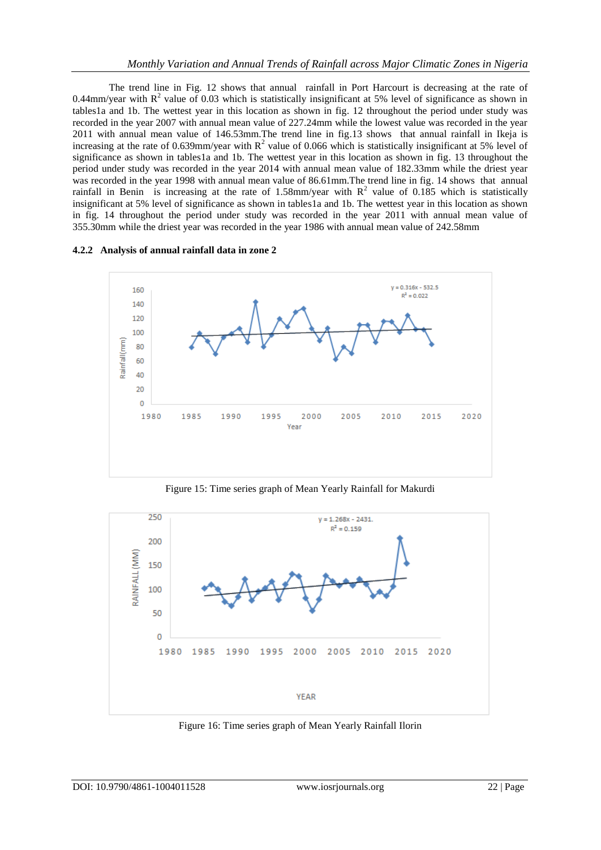The trend line in Fig. 12 shows that annual rainfall in Port Harcourt is decreasing at the rate of 0.44mm/year with  $R^2$  value of 0.03 which is statistically insignificant at 5% level of significance as shown in tables1a and 1b. The wettest year in this location as shown in fig. 12 throughout the period under study was recorded in the year 2007 with annual mean value of 227.24mm while the lowest value was recorded in the year 2011 with annual mean value of 146.53mm.The trend line in fig.13 shows that annual rainfall in Ikeja is increasing at the rate of 0.639mm/year with  $R^2$  value of 0.066 which is statistically insignificant at 5% level of significance as shown in tables1a and 1b. The wettest year in this location as shown in fig. 13 throughout the period under study was recorded in the year 2014 with annual mean value of 182.33mm while the driest year was recorded in the year 1998 with annual mean value of 86.61mm.The trend line in fig. 14 shows that annual rainfall in Benin is increasing at the rate of 1.58mm/year with  $R^2$  value of 0.185 which is statistically insignificant at 5% level of significance as shown in tables1a and 1b. The wettest year in this location as shown in fig. 14 throughout the period under study was recorded in the year 2011 with annual mean value of 355.30mm while the driest year was recorded in the year 1986 with annual mean value of 242.58mm

#### **4.2.2 Analysis of annual rainfall data in zone 2**



Figure 15: Time series graph of Mean Yearly Rainfall for Makurdi



Figure 16: Time series graph of Mean Yearly Rainfall Ilorin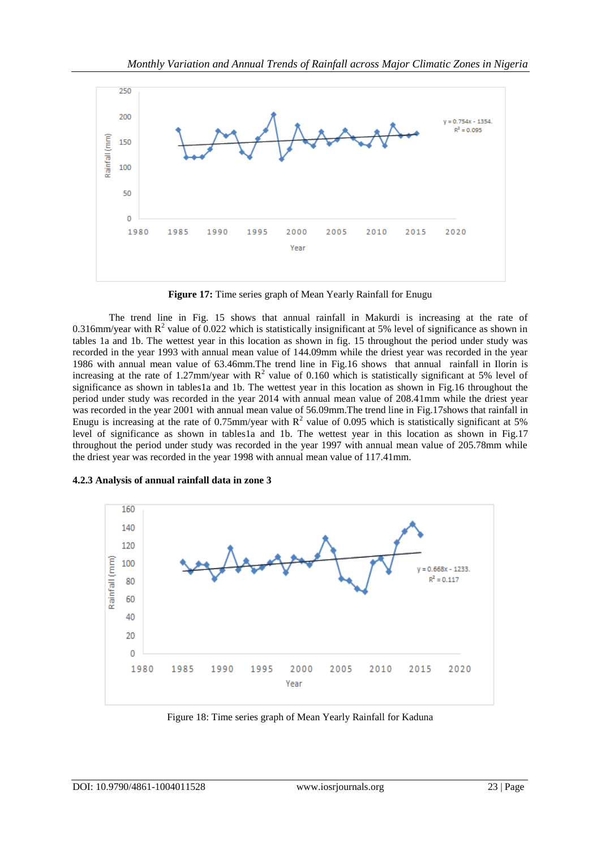

**Figure 17:** Time series graph of Mean Yearly Rainfall for Enugu

The trend line in Fig. 15 shows that annual rainfall in Makurdi is increasing at the rate of 0.316mm/year with  $R^2$  value of 0.022 which is statistically insignificant at 5% level of significance as shown in tables 1a and 1b. The wettest year in this location as shown in fig. 15 throughout the period under study was recorded in the year 1993 with annual mean value of 144.09mm while the driest year was recorded in the year 1986 with annual mean value of 63.46mm.The trend line in Fig.16 shows that annual rainfall in Ilorin is increasing at the rate of 1.27mm/year with  $R^2$  value of 0.160 which is statistically significant at 5% level of significance as shown in tables1a and 1b. The wettest year in this location as shown in Fig.16 throughout the period under study was recorded in the year 2014 with annual mean value of 208.41mm while the driest year was recorded in the year 2001 with annual mean value of 56.09mm.The trend line in Fig.17shows that rainfall in Enugu is increasing at the rate of 0.75mm/year with  $R^2$  value of 0.095 which is statistically significant at 5% level of significance as shown in tables1a and 1b. The wettest year in this location as shown in Fig.17 throughout the period under study was recorded in the year 1997 with annual mean value of 205.78mm while the driest year was recorded in the year 1998 with annual mean value of 117.41mm.



**4.2.3 Analysis of annual rainfall data in zone 3**

Figure 18: Time series graph of Mean Yearly Rainfall for Kaduna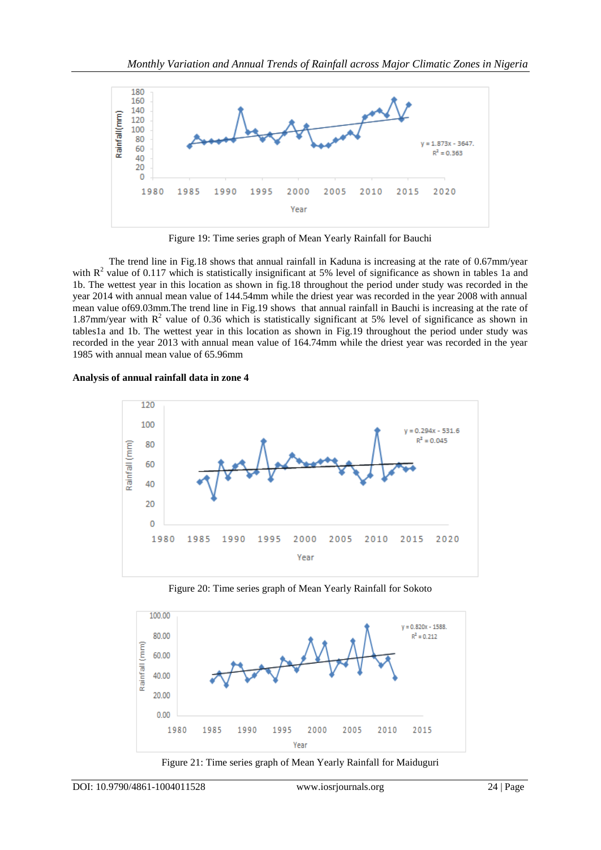

Figure 19: Time series graph of Mean Yearly Rainfall for Bauchi

The trend line in Fig.18 shows that annual rainfall in Kaduna is increasing at the rate of 0.67mm/year with  $R^2$  value of 0.117 which is statistically insignificant at 5% level of significance as shown in tables 1a and 1b. The wettest year in this location as shown in fig.18 throughout the period under study was recorded in the year 2014 with annual mean value of 144.54mm while the driest year was recorded in the year 2008 with annual mean value of69.03mm.The trend line in Fig.19 shows that annual rainfall in Bauchi is increasing at the rate of 1.87mm/year with  $R^2$  value of 0.36 which is statistically significant at 5% level of significance as shown in tables1a and 1b. The wettest year in this location as shown in Fig.19 throughout the period under study was recorded in the year 2013 with annual mean value of 164.74mm while the driest year was recorded in the year 1985 with annual mean value of 65.96mm

#### **Analysis of annual rainfall data in zone 4**



Figure 20: Time series graph of Mean Yearly Rainfall for Sokoto



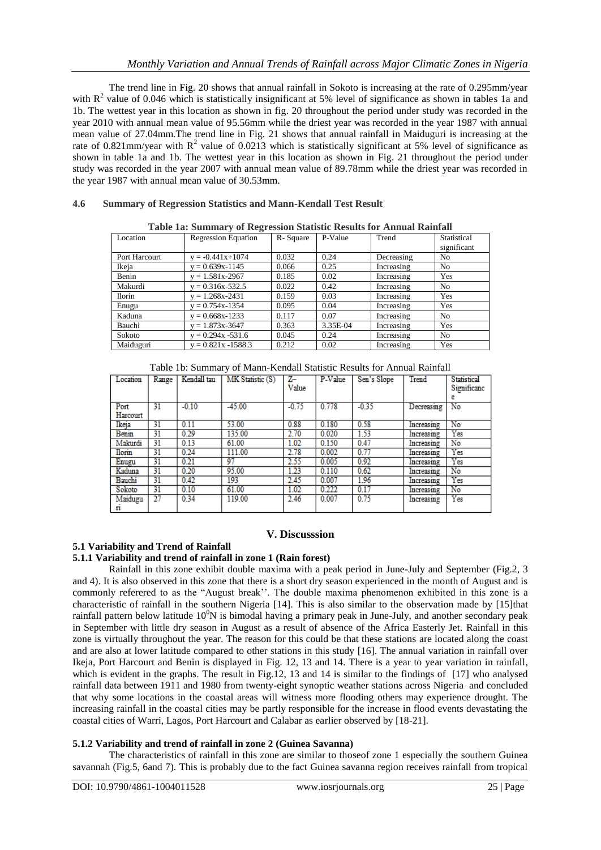The trend line in Fig. 20 shows that annual rainfall in Sokoto is increasing at the rate of 0.295mm/year with  $R^2$  value of 0.046 which is statistically insignificant at 5% level of significance as shown in tables 1a and 1b. The wettest year in this location as shown in fig. 20 throughout the period under study was recorded in the year 2010 with annual mean value of 95.56mm while the driest year was recorded in the year 1987 with annual mean value of 27.04mm.The trend line in Fig. 21 shows that annual rainfall in Maiduguri is increasing at the rate of 0.821mm/year with  $R^2$  value of 0.0213 which is statistically significant at 5% level of significance as shown in table 1a and 1b. The wettest year in this location as shown in Fig. 21 throughout the period under study was recorded in the year 2007 with annual mean value of 89.78mm while the driest year was recorded in the year 1987 with annual mean value of 30.53mm.

## **4.6 Summary of Regression Statistics and Mann-Kendall Test Result**

| Tubic Incontinuuty of Inegrability buttone Incount for Thinkin Indiana |                            |          |          |            |                |  |  |  |  |
|------------------------------------------------------------------------|----------------------------|----------|----------|------------|----------------|--|--|--|--|
| Location                                                               | <b>Regression Equation</b> | R-Square | P-Value  | Trend      | Statistical    |  |  |  |  |
|                                                                        |                            |          |          |            | significant    |  |  |  |  |
| Port Harcourt                                                          | $= -0.441x+1074$           | 0.032    | 0.24     | Decreasing | No.            |  |  |  |  |
| Ikeja                                                                  | $y = 0.639x - 1145$        | 0.066    | 0.25     | Increasing | N <sub>o</sub> |  |  |  |  |
| Benin                                                                  | $y = 1.581x - 2967$        | 0.185    | 0.02     | Increasing | Yes            |  |  |  |  |
| Makurdi                                                                | $y = 0.316x - 532.5$       | 0.022    | 0.42     | Increasing | N <sub>o</sub> |  |  |  |  |
| <b>Ilorin</b>                                                          | $v = 1.268x - 2431$        | 0.159    | 0.03     | Increasing | <b>Yes</b>     |  |  |  |  |
| Enugu                                                                  | $v = 0.754x - 1354$        | 0.095    | 0.04     | Increasing | Yes            |  |  |  |  |
| Kaduna                                                                 | $v = 0.668x - 1233$        | 0.117    | 0.07     | Increasing | N <sub>o</sub> |  |  |  |  |
| Bauchi                                                                 | $v = 1.873x - 3647$        | 0.363    | 3.35E-04 | Increasing | Yes            |  |  |  |  |
| Sokoto                                                                 | $y = 0.294x - 531.6$       | 0.045    | 0.24     | Increasing | N <sub>o</sub> |  |  |  |  |
| Maiduguri                                                              | $v = 0.821x - 1588.3$      | 0.212    | 0.02     | Increasing | Yes            |  |  |  |  |

**Table 1a: Summary of Regression Statistic Results for Annual Rainfall**

|  | Table 1b: Summary of Mann-Kendall Statistic Results for Annual Rainfall |  |  |  |  |
|--|-------------------------------------------------------------------------|--|--|--|--|
|  |                                                                         |  |  |  |  |

| Location         | Range | Kendall tau | MK Statistic (S) | $Z-$<br>Value | P-Value | Sen's Slope | Trend      | <b>Statistical</b><br>Significanc<br>е |
|------------------|-------|-------------|------------------|---------------|---------|-------------|------------|----------------------------------------|
| Port<br>Harcourt | 31    | $-0.10$     | $-45.00$         | $-0.75$       | 0.778   | $-0.35$     | Decreasing | No                                     |
| Ikeja            | 31    | 0.11        | 53.00            | 0.88          | 0.180   | 0.58        | Increasing | No                                     |
| Benin            | 31    | 0.29        | 135.00           | 2.70          | 0.020   | 1.53        | Increasing | Yes                                    |
| Makurdi          | 31    | 0.13        | 61.00            | 1.02          | 0.150   | 0.47        | Increasing | No                                     |
| <b>Ilorin</b>    | 31    | 0.24        | 111.00           | 2.78          | 0.002   | 0.77        | Increasing | Yes                                    |
| Enugu            | 31    | 0.21        | 97               | 2.55          | 0.005   | 0.92        | Increasing | Yes                                    |
| Kaduna           | 31    | 0.20        | 95.00            | 1.23          | 0.110   | 0.62        | Increasing | No                                     |
| Bauchi           | 31    | 0.42        | 193              | 2.45          | 0.007   | 1.96        | Increasing | Yes                                    |
| Sokoto           | 31    | 0.10        | 61.00            | 1.02          | 0.222   | 0.17        | Increasing | No                                     |
| Maidugu<br>n     | 27    | 0.34        | 119.00           | 2.46          | 0.007   | 0.75        | Increasing | Yes                                    |

#### **V. Discusssion**

## **5.1 Variability and Trend of Rainfall**

## **5.1.1 Variability and trend of rainfall in zone 1 (Rain forest)**

Rainfall in this zone exhibit double maxima with a peak period in June-July and September (Fig.2, 3 and 4). It is also observed in this zone that there is a short dry season experienced in the month of August and is commonly referered to as the "August break''. The double maxima phenomenon exhibited in this zone is a characteristic of rainfall in the southern Nigeria [14]. This is also similar to the observation made by [15]that rainfall pattern below latitude  $10^0$ N is bimodal having a primary peak in June-July, and another secondary peak in September with little dry season in August as a result of absence of the Africa Easterly Jet. Rainfall in this zone is virtually throughout the year. The reason for this could be that these stations are located along the coast and are also at lower latitude compared to other stations in this study [16]. The annual variation in rainfall over Ikeja, Port Harcourt and Benin is displayed in Fig. 12, 13 and 14. There is a year to year variation in rainfall, which is evident in the graphs. The result in Fig.12, 13 and 14 is similar to the findings of [17] who analysed rainfall data between 1911 and 1980 from twenty-eight synoptic weather stations across Nigeria and concluded that why some locations in the coastal areas will witness more flooding others may experience drought. The increasing rainfall in the coastal cities may be partly responsible for the increase in flood events devastating the coastal cities of Warri, Lagos, Port Harcourt and Calabar as earlier observed by [18-21].

#### **5.1.2 Variability and trend of rainfall in zone 2 (Guinea Savanna)**

The characteristics of rainfall in this zone are similar to thoseof zone 1 especially the southern Guinea savannah (Fig.5, 6and 7). This is probably due to the fact Guinea savanna region receives rainfall from tropical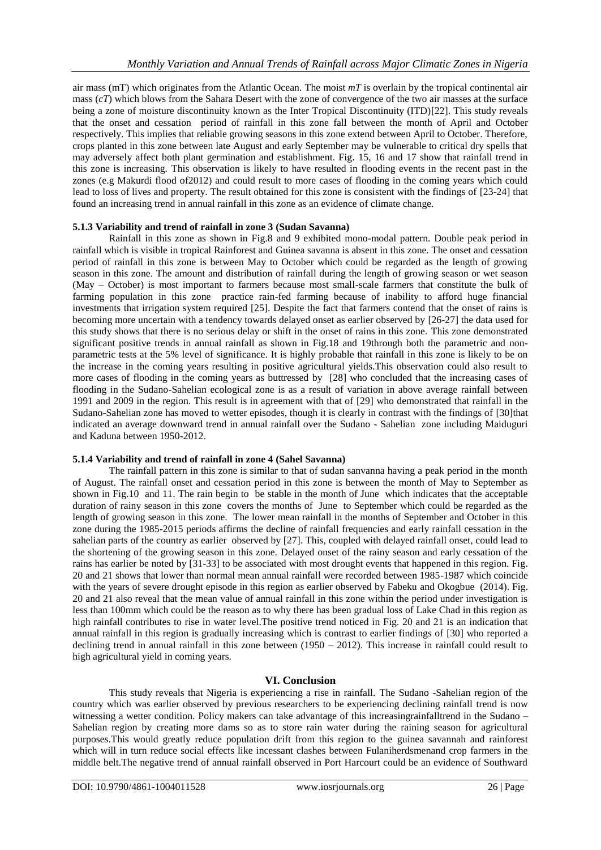air mass (mT) which originates from the Atlantic Ocean. The moist *mT* is overlain by the tropical continental air mass (*cT*) which blows from the Sahara Desert with the zone of convergence of the two air masses at the surface being a zone of moisture discontinuity known as the Inter Tropical Discontinuity (ITD)[22]. This study reveals that the onset and cessation period of rainfall in this zone fall between the month of April and October respectively. This implies that reliable growing seasons in this zone extend between April to October. Therefore, crops planted in this zone between late August and early September may be vulnerable to critical dry spells that may adversely affect both plant germination and establishment. Fig. 15, 16 and 17 show that rainfall trend in this zone is increasing. This observation is likely to have resulted in flooding events in the recent past in the zones (e.g Makurdi flood of2012) and could result to more cases of flooding in the coming years which could lead to loss of lives and property. The result obtained for this zone is consistent with the findings of [23-24] that found an increasing trend in annual rainfall in this zone as an evidence of climate change.

#### **5.1.3 Variability and trend of rainfall in zone 3 (Sudan Savanna)**

Rainfall in this zone as shown in Fig.8 and 9 exhibited mono-modal pattern. Double peak period in rainfall which is visible in tropical Rainforest and Guinea savanna is absent in this zone. The onset and cessation period of rainfall in this zone is between May to October which could be regarded as the length of growing season in this zone. The amount and distribution of rainfall during the length of growing season or wet season (May – October) is most important to farmers because most small-scale farmers that constitute the bulk of farming population in this zone practice rain-fed farming because of inability to afford huge financial investments that irrigation system required [25]. Despite the fact that farmers contend that the onset of rains is becoming more uncertain with a tendency towards delayed onset as earlier observed by [26-27] the data used for this study shows that there is no serious delay or shift in the onset of rains in this zone. This zone demonstrated significant positive trends in annual rainfall as shown in Fig.18 and 19through both the parametric and nonparametric tests at the 5% level of significance. It is highly probable that rainfall in this zone is likely to be on the increase in the coming years resulting in positive agricultural yields.This observation could also result to more cases of flooding in the coming years as buttressed by [28] who concluded that the increasing cases of flooding in the Sudano-Sahelian ecological zone is as a result of variation in above average rainfall between 1991 and 2009 in the region. This result is in agreement with that of [29] who demonstrated that rainfall in the Sudano-Sahelian zone has moved to wetter episodes, though it is clearly in contrast with the findings of [30]that indicated an average downward trend in annual rainfall over the Sudano - Sahelian zone including Maiduguri and Kaduna between 1950-2012.

#### **5.1.4 Variability and trend of rainfall in zone 4 (Sahel Savanna)**

The rainfall pattern in this zone is similar to that of sudan sanvanna having a peak period in the month of August. The rainfall onset and cessation period in this zone is between the month of May to September as shown in Fig.10 and 11. The rain begin to be stable in the month of June which indicates that the acceptable duration of rainy season in this zone covers the months of June to September which could be regarded as the length of growing season in this zone. The lower mean rainfall in the months of September and October in this zone during the 1985-2015 periods affirms the decline of rainfall frequencies and early rainfall cessation in the sahelian parts of the country as earlier observed by [27]. This, coupled with delayed rainfall onset, could lead to the shortening of the growing season in this zone. Delayed onset of the rainy season and early cessation of the rains has earlier be noted by [31-33] to be associated with most drought events that happened in this region. Fig. 20 and 21 shows that lower than normal mean annual rainfall were recorded between 1985-1987 which coincide with the years of severe drought episode in this region as earlier observed by Fabeku and Okogbue (2014). Fig. 20 and 21 also reveal that the mean value of annual rainfall in this zone within the period under investigation is less than 100mm which could be the reason as to why there has been gradual loss of Lake Chad in this region as high rainfall contributes to rise in water level.The positive trend noticed in Fig. 20 and 21 is an indication that annual rainfall in this region is gradually increasing which is contrast to earlier findings of [30] who reported a declining trend in annual rainfall in this zone between (1950 – 2012). This increase in rainfall could result to high agricultural yield in coming years.

#### **VI. Conclusion**

This study reveals that Nigeria is experiencing a rise in rainfall. The Sudano -Sahelian region of the country which was earlier observed by previous researchers to be experiencing declining rainfall trend is now witnessing a wetter condition. Policy makers can take advantage of this increasingrainfalltrend in the Sudano – Sahelian region by creating more dams so as to store rain water during the raining season for agricultural purposes.This would greatly reduce population drift from this region to the guinea savannah and rainforest which will in turn reduce social effects like incessant clashes between Fulaniherdsmenand crop farmers in the middle belt.The negative trend of annual rainfall observed in Port Harcourt could be an evidence of Southward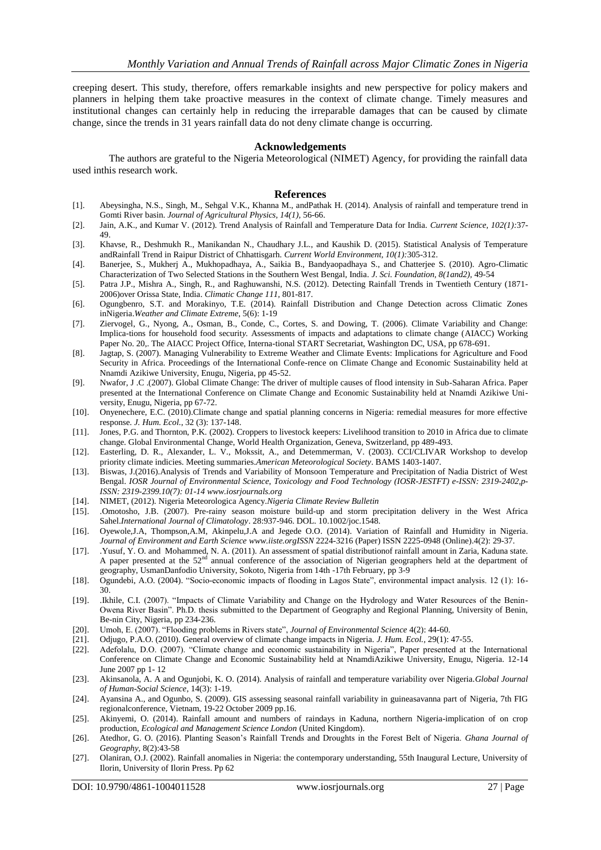creeping desert. This study, therefore, offers remarkable insights and new perspective for policy makers and planners in helping them take proactive measures in the context of climate change. Timely measures and institutional changes can certainly help in reducing the irreparable damages that can be caused by climate change, since the trends in 31 years rainfall data do not deny climate change is occurring.

#### **Acknowledgements**

The authors are grateful to the Nigeria Meteorological (NIMET) Agency, for providing the rainfall data used inthis research work.

#### **References**

- [1]. Abeysingha, N.S., Singh, M., Sehgal V.K., Khanna M., andPathak H. (2014). Analysis of rainfall and temperature trend in Gomti River basin. *Journal of Agricultural Physics, 14(1),* 56-66.
- [2]. Jain, A.K., and Kumar V. (2012). Trend Analysis of Rainfall and Temperature Data for India. *Current Science, 102(1):*37- 49.
- [3]. Khavse, R., Deshmukh R., Manikandan N., Chaudhary J.L., and Kaushik D. (2015). Statistical Analysis of Temperature andRainfall Trend in Raipur District of Chhattisgarh. *Current World Environment, 10(1):*305-312.
- [4]. Banerjee, S., Mukherj A., Mukhopadhaya, A., Saikia B., Bandyaopadhaya S., and Chatterjee S. (2010). Agro-Climatic Characterization of Two Selected Stations in the Southern West Bengal, India. *J. Sci. Foundation, 8(1and2),* 49-54
- [5]. Patra J.P., Mishra A., Singh, R., and Raghuwanshi, N.S. (2012). Detecting Rainfall Trends in Twentieth Century (1871- 2006)over Orissa State, India. *Climatic Change 111,* 801-817.
- [6]. Ogungbenro, S.T. and Morakinyo, T.E. (2014). Rainfall Distribution and Change Detection across Climatic Zones inNigeria.*Weather and Climate Extreme*, 5(6): 1-19
- [7]. Ziervogel, G., Nyong, A., Osman, B., Conde, C., Cortes, S. and Dowing, T. (2006). Climate Variability and Change: Implica-tions for household food securit*y.* Assessments of impacts and adaptations to climate change (AIACC) Working Paper No. 20,. The AIACC Project Office, Interna-tional START Secretariat, Washington DC, USA, pp 678-691.
- [8]. Jagtap, S. (2007). Managing Vulnerability to Extreme Weather and Climate Events: Implications for Agriculture and Food Security in Africa. Proceedings of the International Confe-rence on Climate Change and Economic Sustainability held at Nnamdi Azikiwe University, Enugu, Nigeria, pp 45-52.
- [9]. Nwafor, J .C .(2007). Global Climate Change: The driver of multiple causes of flood intensity in Sub-Saharan Africa. Paper presented at the International Conference on Climate Change and Economic Sustainability held at Nnamdi Azikiwe University, Enugu, Nigeria, pp 67-72.
- [10]. Onyenechere, E.C. (2010).Climate change and spatial planning concerns in Nigeria: remedial measures for more effective response. *J. Hum. Ecol.*, 32 (3): 137-148.
- [11]. Jones, P.G. and Thornton, P.K. (2002). Croppers to livestock keepers: Livelihood transition to 2010 in Africa due to climate change. Global Environmental Change, World Health Organization, Geneva, Switzerland, pp 489-493.
- [12]. Easterling, D. R., Alexander, L. V., Mokssit, A., and Detemmerman, V. (2003). CCI/CLIVAR Workshop to develop priority climate indicies. Meeting summaries.*American Meteorological Society*. BAMS 1403-1407.
- [13]. Biswas, J.(2016).Analysis of Trends and Variability of Monsoon Temperature and Precipitation of Nadia District of West Bengal. *IOSR Journal of Environmental Science, Toxicology and Food Technology (IOSR-JESTFT) e-ISSN: 2319-2402,p-ISSN: 2319-2399.10(7): 01-1[4 www.iosrjournals.org](http://www.iosrjournals.org/)*
- [14]. NIMET, (2012). Nigeria Meteorologica Agency.*Nigeria Climate Review Bulletin*
- [15]. .Omotosho, J.B. (2007). Pre-rainy season moisture build-up and storm precipitation delivery in the West Africa Sahel.*International Journal of Climatology*. 28:937-946. DOL. 10.1002/joc.1548.
- [16]. Oyewole,J.A, Thompson,A.M, Akinpelu,J.A and Jegede O.O. (2014). Variation of Rainfall and Humidity in Nigeria. *Journal of Environment and Earth Science [www.iiste.orgI](http://www.iiste.org/)SSN* 2224-3216 (Paper) ISSN 2225-0948 (Online).4(2): 29-37.
- [17]. .Yusuf, Y. O. and Mohammed, N. A. (2011). An assessment of spatial distributionof rainfall amount in Zaria, Kaduna state. A paper presented at the  $52<sup>nd</sup>$  annual conference of the association of Nigerian geographers held at the department of A paper presented at the  $52<sup>nd</sup>$  annual conference of the association of Nigerian geographers geography, UsmanDanfodio University, Sokoto, Nigeria from 14th -17th February, pp 3-9
- [18]. Ogundebi, A.O. (2004). "Socio-economic impacts of flooding in Lagos State", environmental impact analysis. 12 (1): 16- 30.
- [19]. .Ikhile, C.I. (2007). "Impacts of Climate Variability and Change on the Hydrology and Water Resources of the Benin-Owena River Basin". Ph.D. thesis submitted to the Department of Geography and Regional Planning, University of Benin, Be-nin City, Nigeria, pp 234-236.
- [20]. Umoh, E. (2007). "Flooding problems in Rivers state", *Journal of Environmental Science* 4(2): 44-60.
- [21]. Odjugo, P.A.O. (2010). General overview of climate change impacts in Nigeria. *J. Hum. Ecol.,* 29(1): 47-55.
- [22]. Adefolalu, D.O. (2007). "Climate change and economic sustainability in Nigeria", Paper presented at the International Conference on Climate Change and Economic Sustainability held at NnamdiAzikiwe University, Enugu, Nigeria. 12-14 June 2007 pp 1- 12
- [23]. Akinsanola, A. A and Ogunjobi, K. O. (2014). Analysis of rainfall and temperature variability over Nigeria.*Global Journal of Human-Social Science*, 14(3): 1-19.
- [24]. Ayansina A., and Ogunbo, S. (2009). GIS assessing seasonal rainfall variability in guineasavanna part of Nigeria, 7th FIG regionalconference, Vietnam, 19-22 October 2009 pp.16.
- [25]. Akinyemi, O. (2014). Rainfall amount and numbers of raindays in Kaduna, northern Nigeria-implication of on crop production, *Ecological and Management Science London* (United Kingdom).
- [26]. Atedhor, G. O. (2016). Planting Season's Rainfall Trends and Droughts in the Forest Belt of Nigeria. *Ghana Journal of Geography*, 8(2):43-58
- [27]. Olaniran, O.J. (2002). Rainfall anomalies in Nigeria: the contemporary understanding, 55th Inaugural Lecture, University of Ilorin, University of Ilorin Press. Pp 62